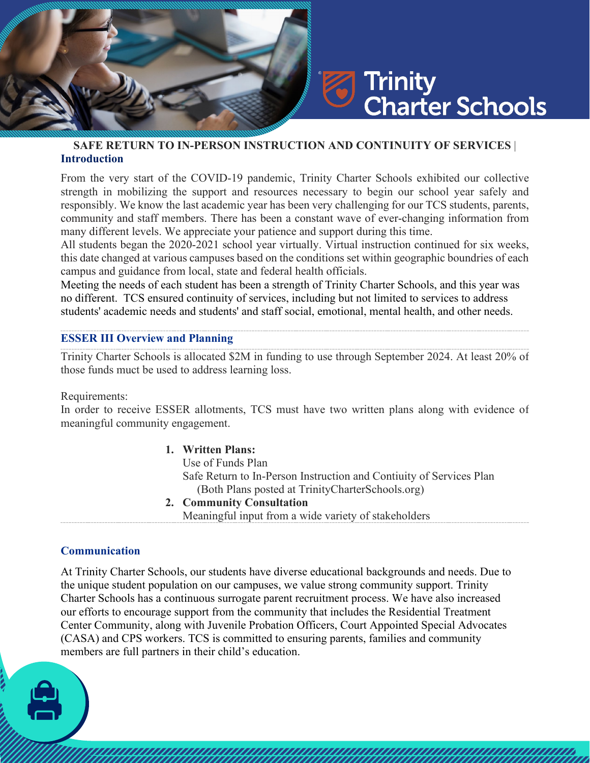# Trinity **Charter Schools**

## **SAFE RETURN TO IN-PERSON INSTRUCTION AND CONTINUITY OF SERVICES** | **Introduction**

From the very start of the COVID-19 pandemic, Trinity Charter Schools exhibited our collective strength in mobilizing the support and resources necessary to begin our school year safely and responsibly. We know the last academic year has been very challenging for our TCS students, parents, community and staff members. There has been a constant wave of ever-changing information from many different levels. We appreciate your patience and support during this time.

All students began the 2020-2021 school year virtually. Virtual instruction continued for six weeks, this date changed at various campuses based on the conditions set within geographic boundries of each campus and guidance from local, state and federal health officials.

Meeting the needs of each student has been a strength of Trinity Charter Schools, and this year was no different. TCS ensured continuity of services, including but not limited to services to address students' academic needs and students' and staff social, emotional, mental health, and other needs.

#### **ESSER III Overview and Planning**

Trinity Charter Schools is allocated \$2M in funding to use through September 2024. At least 20% of those funds muct be used to address learning loss.

Requirements:

In order to receive ESSER allotments, TCS must have two written plans along with evidence of meaningful community engagement.

#### **1. Written Plans:**

Use of Funds Plan Safe Return to In-Person Instruction and Contiuity of Services Plan (Both Plans posted at TrinityCharterSchools.org)

- **2. Community Consultation**
	- Meaningful input from a wide variety of stakeholders

## **Communication**

At Trinity Charter Schools, our students have diverse educational backgrounds and needs. Due to the unique student population on our campuses, we value strong community support. Trinity Charter Schools has a continuous surrogate parent recruitment process. We have also increased our efforts to encourage support from the community that includes the Residential Treatment Center Community, along with Juvenile Probation Officers, Court Appointed Special Advocates (CASA) and CPS workers. TCS is committed to ensuring parents, families and community members are full partners in their child's education.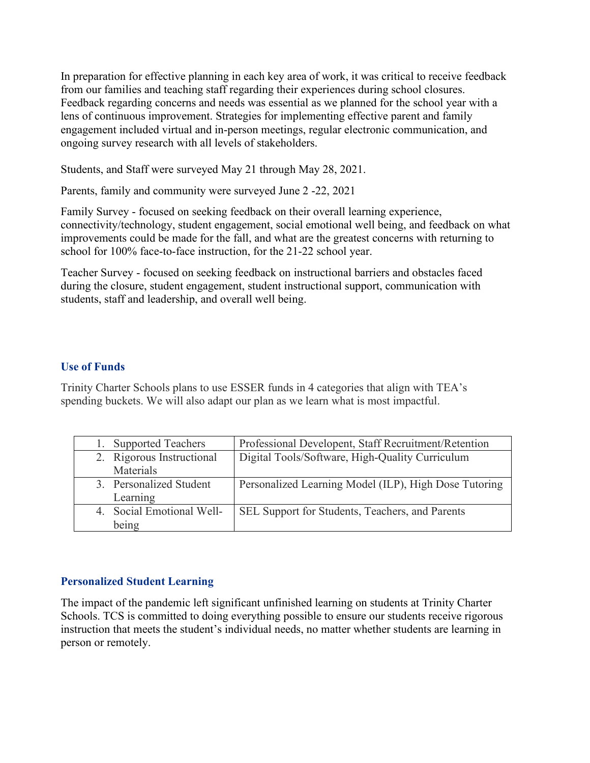In preparation for effective planning in each key area of work, it was critical to receive feedback from our families and teaching staff regarding their experiences during school closures. Feedback regarding concerns and needs was essential as we planned for the school year with a lens of continuous improvement. Strategies for implementing effective parent and family engagement included virtual and in-person meetings, regular electronic communication, and ongoing survey research with all levels of stakeholders.

Students, and Staff were surveyed May 21 through May 28, 2021.

Parents, family and community were surveyed June 2 -22, 2021

Family Survey - focused on seeking feedback on their overall learning experience, connectivity/technology, student engagement, social emotional well being, and feedback on what improvements could be made for the fall, and what are the greatest concerns with returning to school for 100% face-to-face instruction, for the 21-22 school year.

Teacher Survey - focused on seeking feedback on instructional barriers and obstacles faced during the closure, student engagement, student instructional support, communication with students, staff and leadership, and overall well being.

## **Use of Funds**

Trinity Charter Schools plans to use ESSER funds in 4 categories that align with TEA's spending buckets. We will also adapt our plan as we learn what is most impactful.

| 1. Supported Teachers     | Professional Developent, Staff Recruitment/Retention  |
|---------------------------|-------------------------------------------------------|
| 2. Rigorous Instructional | Digital Tools/Software, High-Quality Curriculum       |
| Materials                 |                                                       |
| 3. Personalized Student   | Personalized Learning Model (ILP), High Dose Tutoring |
| Learning                  |                                                       |
| 4. Social Emotional Well- | SEL Support for Students, Teachers, and Parents       |
| being                     |                                                       |

## **Personalized Student Learning**

The impact of the pandemic left significant unfinished learning on students at Trinity Charter Schools. TCS is committed to doing everything possible to ensure our students receive rigorous instruction that meets the student's individual needs, no matter whether students are learning in person or remotely.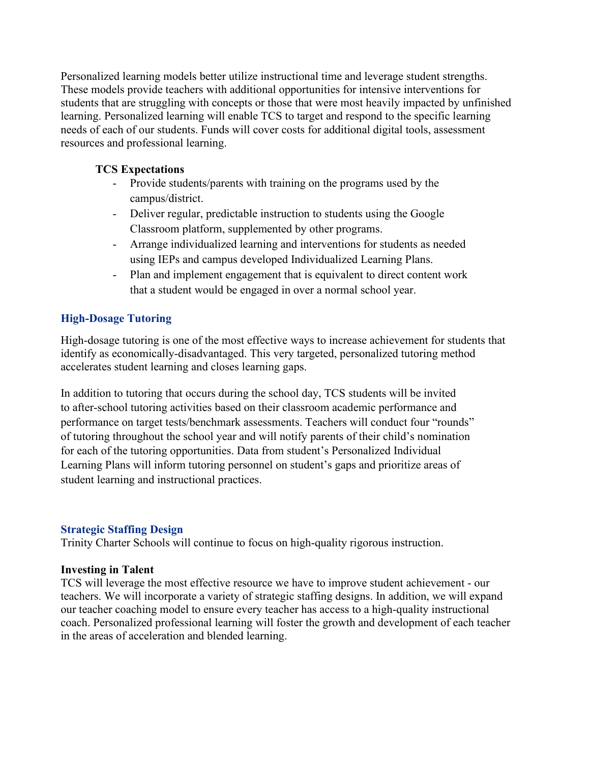Personalized learning models better utilize instructional time and leverage student strengths. These models provide teachers with additional opportunities for intensive interventions for students that are struggling with concepts or those that were most heavily impacted by unfinished learning. Personalized learning will enable TCS to target and respond to the specific learning needs of each of our students. Funds will cover costs for additional digital tools, assessment resources and professional learning.

## **TCS Expectations**

- Provide students/parents with training on the programs used by the campus/district.
- Deliver regular, predictable instruction to students using the Google Classroom platform, supplemented by other programs.
- Arrange individualized learning and interventions for students as needed using IEPs and campus developed Individualized Learning Plans.
- Plan and implement engagement that is equivalent to direct content work that a student would be engaged in over a normal school year.

## **High-Dosage Tutoring**

High-dosage tutoring is one of the most effective ways to increase achievement for students that identify as economically-disadvantaged. This very targeted, personalized tutoring method accelerates student learning and closes learning gaps.

In addition to tutoring that occurs during the school day, TCS students will be invited to after-school tutoring activities based on their classroom academic performance and performance on target tests/benchmark assessments. Teachers will conduct four "rounds" of tutoring throughout the school year and will notify parents of their child's nomination for each of the tutoring opportunities. Data from student's Personalized Individual Learning Plans will inform tutoring personnel on student's gaps and prioritize areas of student learning and instructional practices.

## **Strategic Staffing Design**

Trinity Charter Schools will continue to focus on high-quality rigorous instruction.

## **Investing in Talent**

TCS will leverage the most effective resource we have to improve student achievement - our teachers. We will incorporate a variety of strategic staffing designs. In addition, we will expand our teacher coaching model to ensure every teacher has access to a high-quality instructional coach. Personalized professional learning will foster the growth and development of each teacher in the areas of acceleration and blended learning.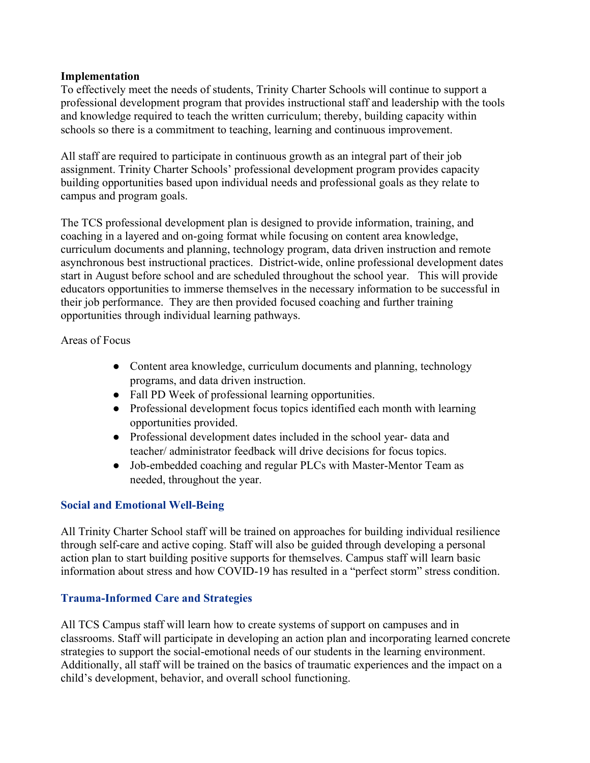#### **Implementation**

To effectively meet the needs of students, Trinity Charter Schools will continue to support a professional development program that provides instructional staff and leadership with the tools and knowledge required to teach the written curriculum; thereby, building capacity within schools so there is a commitment to teaching, learning and continuous improvement.

All staff are required to participate in continuous growth as an integral part of their job assignment. Trinity Charter Schools' professional development program provides capacity building opportunities based upon individual needs and professional goals as they relate to campus and program goals.

The TCS professional development plan is designed to provide information, training, and coaching in a layered and on-going format while focusing on content area knowledge, curriculum documents and planning, technology program, data driven instruction and remote asynchronous best instructional practices. District-wide, online professional development dates start in August before school and are scheduled throughout the school year. This will provide educators opportunities to immerse themselves in the necessary information to be successful in their job performance. They are then provided focused coaching and further training opportunities through individual learning pathways.

Areas of Focus

- Content area knowledge, curriculum documents and planning, technology programs, and data driven instruction.
- Fall PD Week of professional learning opportunities.
- Professional development focus topics identified each month with learning opportunities provided.
- Professional development dates included in the school year-data and teacher/ administrator feedback will drive decisions for focus topics.
- Job-embedded coaching and regular PLCs with Master-Mentor Team as needed, throughout the year.

## **Social and Emotional Well-Being**

All Trinity Charter School staff will be trained on approaches for building individual resilience through self-care and active coping. Staff will also be guided through developing a personal action plan to start building positive supports for themselves. Campus staff will learn basic information about stress and how COVID-19 has resulted in a "perfect storm" stress condition.

## **Trauma-Informed Care and Strategies**

All TCS Campus staff will learn how to create systems of support on campuses and in classrooms. Staff will participate in developing an action plan and incorporating learned concrete strategies to support the social-emotional needs of our students in the learning environment. Additionally, all staff will be trained on the basics of traumatic experiences and the impact on a child's development, behavior, and overall school functioning.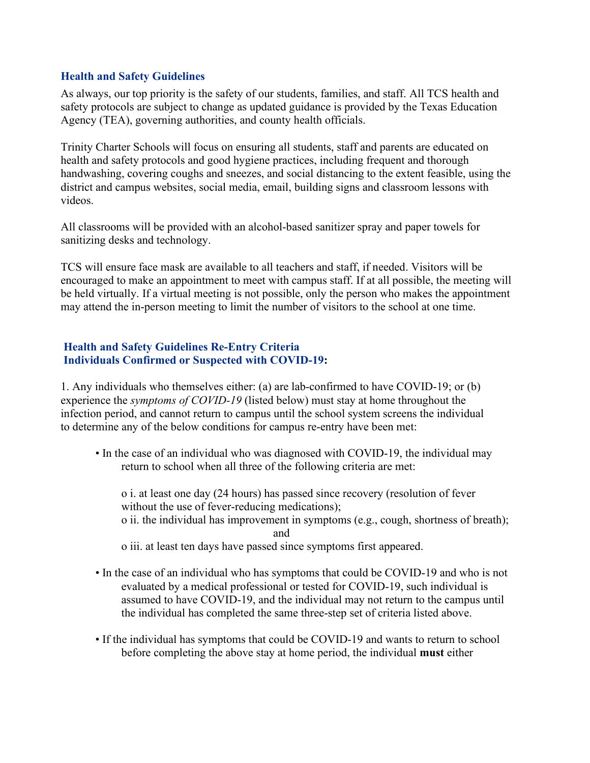#### **Health and Safety Guidelines**

As always, our top priority is the safety of our students, families, and staff. All TCS health and safety protocols are subject to change as updated guidance is provided by the Texas Education Agency (TEA), governing authorities, and county health officials.

Trinity Charter Schools will focus on ensuring all students, staff and parents are educated on health and safety protocols and good hygiene practices, including frequent and thorough handwashing, covering coughs and sneezes, and social distancing to the extent feasible, using the district and campus websites, social media, email, building signs and classroom lessons with videos.

All classrooms will be provided with an alcohol-based sanitizer spray and paper towels for sanitizing desks and technology.

TCS will ensure face mask are available to all teachers and staff, if needed. Visitors will be encouraged to make an appointment to meet with campus staff. If at all possible, the meeting will be held virtually. If a virtual meeting is not possible, only the person who makes the appointment may attend the in-person meeting to limit the number of visitors to the school at one time.

#### **Health and Safety Guidelines Re-Entry Criteria Individuals Confirmed or Suspected with COVID-19:**

1. Any individuals who themselves either: (a) are lab-confirmed to have COVID-19; or (b) experience the *symptoms of COVID-19* (listed below) must stay at home throughout the infection period, and cannot return to campus until the school system screens the individual to determine any of the below conditions for campus re-entry have been met:

• In the case of an individual who was diagnosed with COVID-19, the individual may return to school when all three of the following criteria are met:

o i. at least one day (24 hours) has passed since recovery (resolution of fever without the use of fever-reducing medications); o ii. the individual has improvement in symptoms (e.g., cough, shortness of breath); and

- o iii. at least ten days have passed since symptoms first appeared.
- In the case of an individual who has symptoms that could be COVID-19 and who is not evaluated by a medical professional or tested for COVID-19, such individual is assumed to have COVID-19, and the individual may not return to the campus until the individual has completed the same three-step set of criteria listed above.
- If the individual has symptoms that could be COVID-19 and wants to return to school before completing the above stay at home period, the individual **must** either